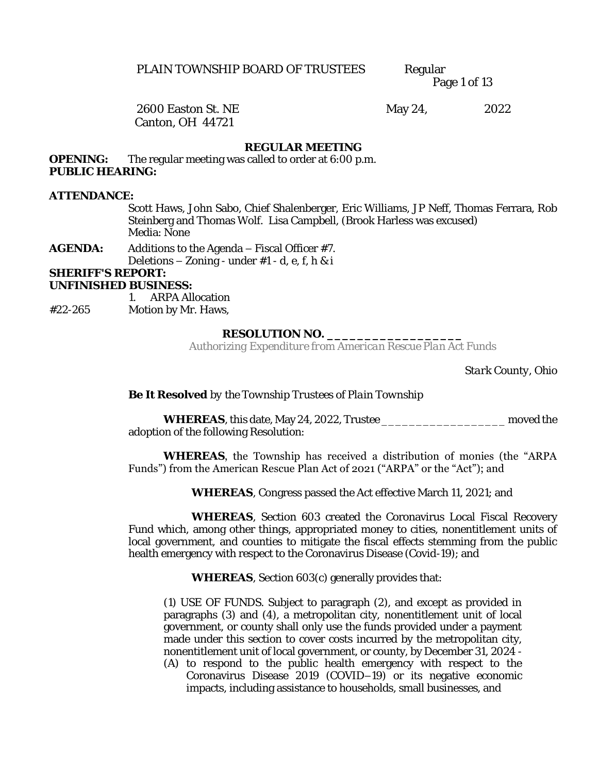Page 1 of 13

# Canton, OH 44721

2600 Easton St. NE May 24, 2022

#### **REGULAR MEETING**

**OPENING:** The regular meeting was called to order at 6:00 p.m. **PUBLIC HEARING:** 

**ATTENDANCE:**

Scott Haws, John Sabo, Chief Shalenberger, Eric Williams, JP Neff, Thomas Ferrara, Rob Steinberg and Thomas Wolf. Lisa Campbell, (Brook Harless was excused) Media: None

**AGENDA:** Additions to the Agenda – Fiscal Officer #7. Deletions  $-$  Zoning - under  $#1$  - d, e, f, h & i **SHERIFF'S REPORT:** 

**UNFINISHED BUSINESS:**

1. ARPA Allocation

#22-265 Motion by Mr. Haws,

#### **RESOLUTION NO. \_\_\_\_\_\_\_\_\_\_\_\_\_\_\_\_\_\_**

*Authorizing Expenditure from American Rescue Plan Act Funds*

*Stark County, Ohio*

**Be It Resolved** *by the Township Trustees of Plain Township*

**WHEREAS**, this date, May 24, 2022, Trustee \_\_\_\_\_\_\_\_\_\_\_\_\_\_\_\_\_\_ moved the adoption of the following Resolution:

#### **WHEREAS**, the Township has received a distribution of monies (the "ARPA Funds") from the American Rescue Plan Act of 2021 ("ARPA" or the "Act"); and

**WHEREAS**, Congress passed the Act effective March 11, 2021; and

**WHEREAS**, Section 603 created the Coronavirus Local Fiscal Recovery Fund which, among other things, appropriated money to cities, nonentitlement units of local government, and counties to mitigate the fiscal effects stemming from the public health emergency with respect to the Coronavirus Disease (Covid-19); and

**WHEREAS**, Section 603(c) generally provides that:

(1) USE OF FUNDS. Subject to paragraph (2), and except as provided in paragraphs (3) and (4), a metropolitan city, nonentitlement unit of local government, or county shall only use the funds provided under a payment made under this section to cover costs incurred by the metropolitan city, nonentitlement unit of local government, or county, by December 31, 2024 -

(A) to respond to the public health emergency with respect to the Coronavirus Disease 2019 (COVID–19) or its negative economic impacts, including assistance to households, small businesses, and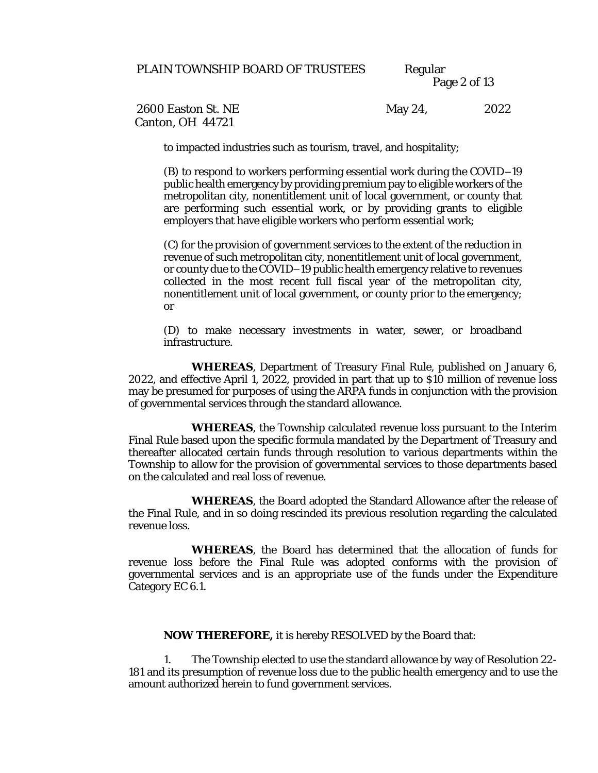Page 2 of 13

Canton, OH 44721

2600 Easton St. NE May 24, 2022

to impacted industries such as tourism, travel, and hospitality;

(B) to respond to workers performing essential work during the COVID–19 public health emergency by providing premium pay to eligible workers of the metropolitan city, nonentitlement unit of local government, or county that are performing such essential work, or by providing grants to eligible employers that have eligible workers who perform essential work;

(C) for the provision of government services to the extent of the reduction in revenue of such metropolitan city, nonentitlement unit of local government, or county due to the COVID–19 public health emergency relative to revenues collected in the most recent full fiscal year of the metropolitan city, nonentitlement unit of local government, or county prior to the emergency; or

(D) to make necessary investments in water, sewer, or broadband infrastructure.

**WHEREAS**, Department of Treasury Final Rule, published on January 6, 2022, and effective April 1, 2022, provided in part that up to \$10 million of revenue loss may be presumed for purposes of using the ARPA funds in conjunction with the provision of governmental services through the standard allowance.

**WHEREAS**, the Township calculated revenue loss pursuant to the Interim Final Rule based upon the specific formula mandated by the Department of Treasury and thereafter allocated certain funds through resolution to various departments within the Township to allow for the provision of governmental services to those departments based on the calculated and real loss of revenue.

**WHEREAS**, the Board adopted the Standard Allowance after the release of the Final Rule, and in so doing rescinded its previous resolution regarding the calculated revenue loss.

**WHEREAS**, the Board has determined that the allocation of funds for revenue loss before the Final Rule was adopted conforms with the provision of governmental services and is an appropriate use of the funds under the Expenditure Category EC 6.1.

**NOW THEREFORE,** it is hereby RESOLVED by the Board that:

1. The Township elected to use the standard allowance by way of Resolution 22- 181 and its presumption of revenue loss due to the public health emergency and to use the amount authorized herein to fund government services.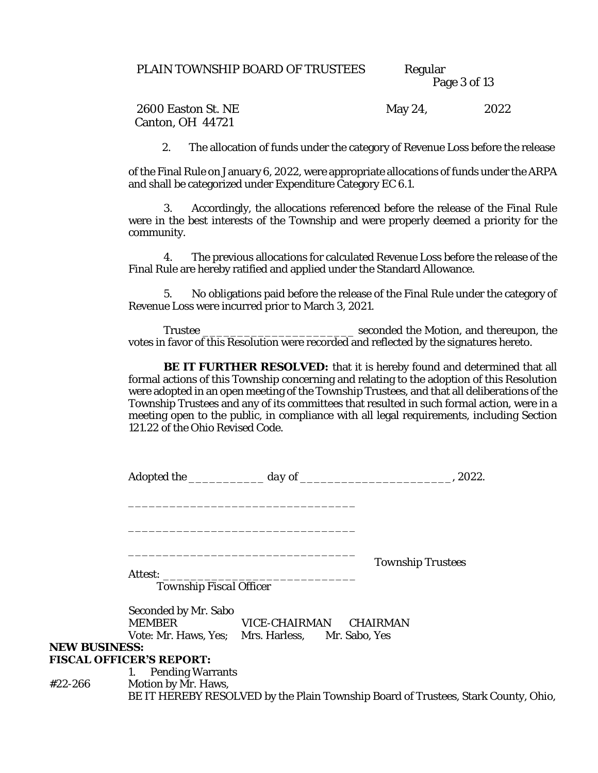#### Page 3 of 13

2600 Easton St. NE May 24, 2022 Canton, OH 44721

2. The allocation of funds under the category of Revenue Loss before the release

of the Final Rule on January 6, 2022, were appropriate allocations of funds under the ARPA and shall be categorized under Expenditure Category EC 6.1.

3. Accordingly, the allocations referenced before the release of the Final Rule were in the best interests of the Township and were properly deemed a priority for the community.

4. The previous allocations for calculated Revenue Loss before the release of the Final Rule are hereby ratified and applied under the Standard Allowance.

5. No obligations paid before the release of the Final Rule under the category of Revenue Loss were incurred prior to March 3, 2021.

Trustee \_\_\_\_\_\_\_\_\_\_\_\_\_\_\_\_\_\_\_\_\_\_ seconded the Motion, and thereupon, the votes in favor of this Resolution were recorded and reflected by the signatures hereto.

**BE IT FURTHER RESOLVED:** that it is hereby found and determined that all formal actions of this Township concerning and relating to the adoption of this Resolution were adopted in an open meeting of the Township Trustees, and that all deliberations of the Township Trustees and any of its committees that resulted in such formal action, were in a meeting open to the public, in compliance with all legal requirements, including Section 121.22 of the Ohio Revised Code.

|                      |                                           |                                                                            | Township Trustees |
|----------------------|-------------------------------------------|----------------------------------------------------------------------------|-------------------|
|                      | <i>Attest:</i><br>Township Fiscal Officer |                                                                            |                   |
|                      | Seconded by Mr. Sabo<br><b>MEMBER</b>     | VICE-CHAIRMAN CHAIRMAN<br>Vote: Mr. Haws, Yes; Mrs. Harless, Mr. Sabo, Yes |                   |
| <b>NEW BUSINESS:</b> | <b>FISCAL OFFICER'S REPORT:</b>           |                                                                            |                   |

#### 1. Pending Warrants #22-266 Motion by Mr. Haws, BE IT HEREBY RESOLVED by the Plain Township Board of Trustees, Stark County, Ohio,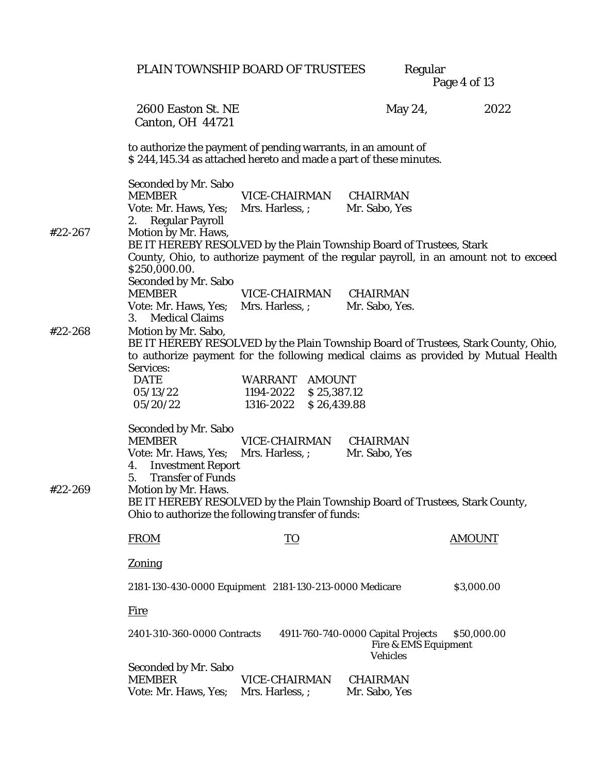|         |                                                                                                                                                                                                                                                              | PLAIN TOWNSHIP BOARD OF TRUSTEES                                       | Regular                                                                | Page 4 of 13                                                                                                                                                             |
|---------|--------------------------------------------------------------------------------------------------------------------------------------------------------------------------------------------------------------------------------------------------------------|------------------------------------------------------------------------|------------------------------------------------------------------------|--------------------------------------------------------------------------------------------------------------------------------------------------------------------------|
|         | 2600 Easton St. NE<br>Canton, OH 44721                                                                                                                                                                                                                       |                                                                        | May 24,                                                                | 2022                                                                                                                                                                     |
|         | to authorize the payment of pending warrants, in an amount of<br>\$244,145.34 as attached hereto and made a part of these minutes.                                                                                                                           |                                                                        |                                                                        |                                                                                                                                                                          |
| #22-267 | Seconded by Mr. Sabo<br><b>MEMBER</b><br>Vote: Mr. Haws, Yes;<br>2. Regular Payroll<br>Motion by Mr. Haws,<br>BE IT HEREBY RESOLVED by the Plain Township Board of Trustees, Stark                                                                           | VICE-CHAIRMAN CHAIRMAN<br>Mrs. Harless, ;                              | Mr. Sabo, Yes                                                          |                                                                                                                                                                          |
|         | \$250,000.00.<br>Seconded by Mr. Sabo<br><b>MEMBER</b><br>Vote: Mr. Haws, Yes;                                                                                                                                                                               | VICE-CHAIRMAN<br>Mrs. Harless, ; Mr. Sabo, Yes.                        | CHAIRMAN                                                               | County, Ohio, to authorize payment of the regular payroll, in an amount not to exceed                                                                                    |
| #22-268 | 3. Medical Claims<br>Motion by Mr. Sabo,                                                                                                                                                                                                                     |                                                                        |                                                                        | BE IT HEREBY RESOLVED by the Plain Township Board of Trustees, Stark County, Ohio,<br>to authorize payment for the following medical claims as provided by Mutual Health |
|         | Services:<br>DATE<br>05/13/22<br>05/20/22                                                                                                                                                                                                                    | WARRANT AMOUNT<br>1194-2022<br>\$25,387.12<br>1316-2022<br>\$26,439.88 |                                                                        |                                                                                                                                                                          |
| #22-269 | Seconded by Mr. Sabo<br><b>MEMBER</b><br>Vote: Mr. Haws, Yes; Mrs. Harless, ; Mr. Sabo, Yes<br>4. Investment Report<br>5.<br><b>Transfer of Funds</b><br>Motion by Mr. Haws.<br>BE IT HEREBY RESOLVED by the Plain Township Board of Trustees, Stark County, | VICE-CHAIRMAN                                                          | CHAIRMAN                                                               |                                                                                                                                                                          |
|         | Ohio to authorize the following transfer of funds:<br><b>FROM</b>                                                                                                                                                                                            | TO                                                                     |                                                                        | <b>AMOUNT</b>                                                                                                                                                            |
|         | Zoning                                                                                                                                                                                                                                                       |                                                                        |                                                                        |                                                                                                                                                                          |
|         | 2181-130-430-0000 Equipment 2181-130-213-0000 Medicare                                                                                                                                                                                                       |                                                                        |                                                                        | \$3,000.00                                                                                                                                                               |
|         | <u>Fire</u>                                                                                                                                                                                                                                                  |                                                                        |                                                                        |                                                                                                                                                                          |
|         | 2401-310-360-0000 Contracts                                                                                                                                                                                                                                  |                                                                        | 4911-760-740-0000 Capital Projects<br>Fire & EMS Equipment<br>Vehicles | \$50,000.00                                                                                                                                                              |
|         | Seconded by Mr. Sabo<br><b>MEMBER</b><br>Vote: Mr. Haws, Yes;                                                                                                                                                                                                | VICE-CHAIRMAN<br>Mrs. Harless, ;                                       | CHAIRMAN<br>Mr. Sabo, Yes                                              |                                                                                                                                                                          |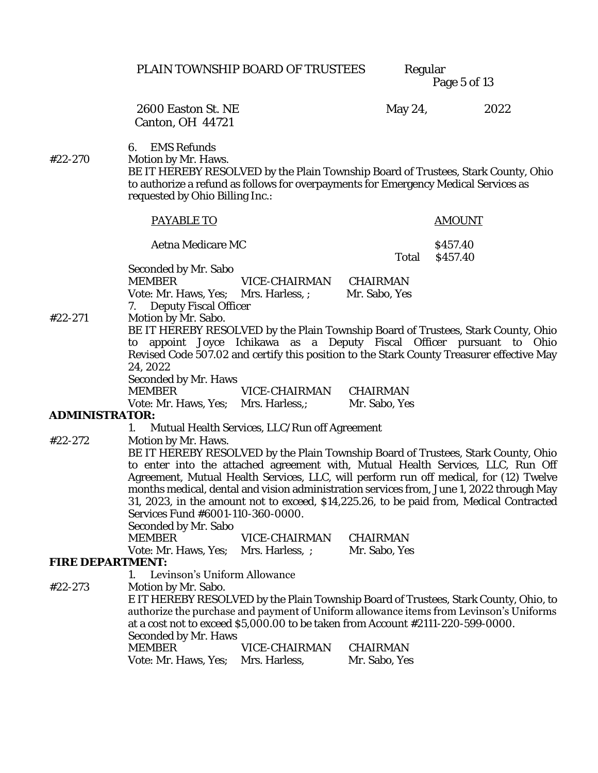Page 5 of 13

2600 Easton St. NE May 24, 2022 Canton, OH 44721

6. EMS Refunds

#22-270 Motion by Mr. Haws.

BE IT HEREBY RESOLVED by the Plain Township Board of Trustees, Stark County, Ohio to authorize a refund as follows for overpayments for Emergency Medical Services as requested by Ohio Billing Inc.:

|                                                                                        | <b>PAYABLE TO</b>                                                               |                                               |               | <b>AMOUNT</b>                                                                                                                                                                                                                                                                                                                                                                                                                                        |
|----------------------------------------------------------------------------------------|---------------------------------------------------------------------------------|-----------------------------------------------|---------------|------------------------------------------------------------------------------------------------------------------------------------------------------------------------------------------------------------------------------------------------------------------------------------------------------------------------------------------------------------------------------------------------------------------------------------------------------|
|                                                                                        | Aetna Medicare MC                                                               |                                               | Total         | \$457.40<br>\$457.40                                                                                                                                                                                                                                                                                                                                                                                                                                 |
|                                                                                        | Seconded by Mr. Sabo<br><b>MEMBER</b>                                           | VICE-CHAIRMAN CHAIRMAN                        |               |                                                                                                                                                                                                                                                                                                                                                                                                                                                      |
|                                                                                        | Vote: Mr. Haws, Yes; Mrs. Harless, ; Mr. Sabo, Yes<br>7. Deputy Fiscal Officer  |                                               |               |                                                                                                                                                                                                                                                                                                                                                                                                                                                      |
| #22-271                                                                                | Motion by Mr. Sabo.                                                             |                                               |               | BE IT HEREBY RESOLVED by the Plain Township Board of Trustees, Stark County, Ohio                                                                                                                                                                                                                                                                                                                                                                    |
|                                                                                        | 24, 2022                                                                        |                                               |               | to appoint Joyce Ichikawa as a Deputy Fiscal Officer pursuant to Ohio<br>Revised Code 507.02 and certify this position to the Stark County Treasurer effective May                                                                                                                                                                                                                                                                                   |
|                                                                                        | Seconded by Mr. Haws<br><b>MEMBER</b>                                           | VICE-CHAIRMAN                                 | CHAIRMAN      |                                                                                                                                                                                                                                                                                                                                                                                                                                                      |
|                                                                                        | Vote: Mr. Haws, Yes; Mrs. Harless,;                                             |                                               | Mr. Sabo, Yes |                                                                                                                                                                                                                                                                                                                                                                                                                                                      |
| ADMINISTRATOR:                                                                         |                                                                                 |                                               |               |                                                                                                                                                                                                                                                                                                                                                                                                                                                      |
|                                                                                        | 1.                                                                              | Mutual Health Services, LLC/Run off Agreement |               |                                                                                                                                                                                                                                                                                                                                                                                                                                                      |
| #22-272                                                                                | Motion by Mr. Haws.<br>Services Fund #6001-110-360-0000.                        |                                               |               | BE IT HEREBY RESOLVED by the Plain Township Board of Trustees, Stark County, Ohio<br>to enter into the attached agreement with, Mutual Health Services, LLC, Run Off<br>Agreement, Mutual Health Services, LLC, will perform run off medical, for (12) Twelve<br>months medical, dental and vision administration services from, June 1, 2022 through May<br>31, 2023, in the amount not to exceed, \$14,225.26, to be paid from, Medical Contracted |
|                                                                                        | Seconded by Mr. Sabo                                                            |                                               |               |                                                                                                                                                                                                                                                                                                                                                                                                                                                      |
|                                                                                        | <b>MEMBER</b>                                                                   | VICE-CHAIRMAN                                 | CHAIRMAN      |                                                                                                                                                                                                                                                                                                                                                                                                                                                      |
| FIRE DEPARTMENT:                                                                       | Vote: Mr. Haws, Yes; Mrs. Harless, ;                                            |                                               | Mr. Sabo, Yes |                                                                                                                                                                                                                                                                                                                                                                                                                                                      |
|                                                                                        | Levinson's Uniform Allowance                                                    |                                               |               |                                                                                                                                                                                                                                                                                                                                                                                                                                                      |
| #22-273                                                                                | Motion by Mr. Sabo.                                                             |                                               |               |                                                                                                                                                                                                                                                                                                                                                                                                                                                      |
|                                                                                        |                                                                                 |                                               |               | E IT HEREBY RESOLVED by the Plain Township Board of Trustees, Stark County, Ohio, to                                                                                                                                                                                                                                                                                                                                                                 |
| authorize the purchase and payment of Uniform allowance items from Levinson's Uniforms |                                                                                 |                                               |               |                                                                                                                                                                                                                                                                                                                                                                                                                                                      |
|                                                                                        | at a cost not to exceed \$5,000.00 to be taken from Account #2111-220-599-0000. |                                               |               |                                                                                                                                                                                                                                                                                                                                                                                                                                                      |
|                                                                                        | Seconded by Mr. Haws                                                            |                                               |               |                                                                                                                                                                                                                                                                                                                                                                                                                                                      |
|                                                                                        | <b>MEMBER</b>                                                                   | VICE-CHAIRMAN                                 | CHAIRMAN      |                                                                                                                                                                                                                                                                                                                                                                                                                                                      |
|                                                                                        | Vote: Mr. Haws, Yes; Mrs. Harless,                                              |                                               | Mr. Sabo, Yes |                                                                                                                                                                                                                                                                                                                                                                                                                                                      |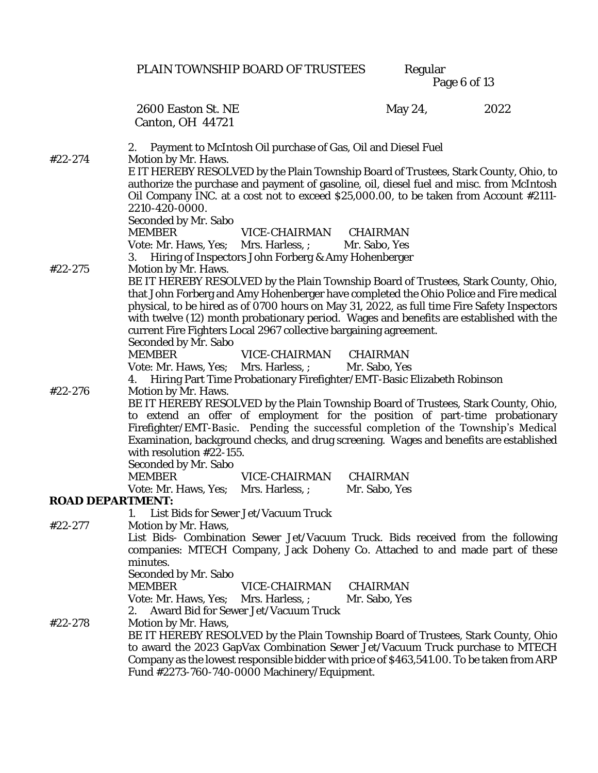|                  |                                                                                                                                                                                                                            | PLAIN TOWNSHIP BOARD OF TRUSTEES                                                                                                                                                                                                                                                                                                                                                                                                           |                           | Regular<br>Page 6 of 13 |      |
|------------------|----------------------------------------------------------------------------------------------------------------------------------------------------------------------------------------------------------------------------|--------------------------------------------------------------------------------------------------------------------------------------------------------------------------------------------------------------------------------------------------------------------------------------------------------------------------------------------------------------------------------------------------------------------------------------------|---------------------------|-------------------------|------|
|                  | 2600 Easton St. NE<br>Canton, OH 44721                                                                                                                                                                                     |                                                                                                                                                                                                                                                                                                                                                                                                                                            |                           | May 24,                 | 2022 |
| #22-274          | 2.<br>Motion by Mr. Haws.                                                                                                                                                                                                  | Payment to McIntosh Oil purchase of Gas, Oil and Diesel Fuel                                                                                                                                                                                                                                                                                                                                                                               |                           |                         |      |
|                  | 2210-420-0000.                                                                                                                                                                                                             | E IT HEREBY RESOLVED by the Plain Township Board of Trustees, Stark County, Ohio, to<br>authorize the purchase and payment of gasoline, oil, diesel fuel and misc. from McIntosh<br>Oil Company INC. at a cost not to exceed \$25,000.00, to be taken from Account #2111-                                                                                                                                                                  |                           |                         |      |
|                  | Seconded by Mr. Sabo<br><b>MEMBER</b><br>Vote: Mr. Haws, Yes; Mrs. Harless, ; Mr. Sabo, Yes                                                                                                                                | VICE-CHAIRMAN CHAIRMAN<br>3. Hiring of Inspectors John Forberg & Amy Hohenberger                                                                                                                                                                                                                                                                                                                                                           |                           |                         |      |
| #22-275          | Motion by Mr. Haws.<br>Seconded by Mr. Sabo                                                                                                                                                                                | BE IT HEREBY RESOLVED by the Plain Township Board of Trustees, Stark County, Ohio,<br>that John Forberg and Amy Hohenberger have completed the Ohio Police and Fire medical<br>physical, to be hired as of 0700 hours on May 31, 2022, as full time Fire Safety Inspectors<br>with twelve (12) month probationary period. Wages and benefits are established with the<br>current Fire Fighters Local 2967 collective bargaining agreement. |                           |                         |      |
|                  | <b>MEMBER</b>                                                                                                                                                                                                              | VICE-CHAIRMAN CHAIRMAN<br>Vote: Mr. Haws, Yes; Mrs. Harless, ; Mr. Sabo, Yes                                                                                                                                                                                                                                                                                                                                                               |                           |                         |      |
| #22-276          |                                                                                                                                                                                                                            | 4. Hiring Part Time Probationary Firefighter/EMT-Basic Elizabeth Robinson                                                                                                                                                                                                                                                                                                                                                                  |                           |                         |      |
|                  | Motion by Mr. Haws.<br>with resolution #22-155.<br>Seconded by Mr. Sabo<br><b>MEMBER</b>                                                                                                                                   | BE IT HEREBY RESOLVED by the Plain Township Board of Trustees, Stark County, Ohio,<br>to extend an offer of employment for the position of part-time probationary<br>Firefighter/EMT-Basic. Pending the successful completion of the Township's Medical<br>Examination, background checks, and drug screening. Wages and benefits are established<br>VICE-CHAIRMAN                                                                         | CHAIRMAN                  |                         |      |
|                  | Vote: Mr. Haws, Yes; Mrs. Harless, ;                                                                                                                                                                                       |                                                                                                                                                                                                                                                                                                                                                                                                                                            | Mr. Sabo, Yes             |                         |      |
| ROAD DEPARTMENT: | 1. List Bids for Sewer Jet/Vacuum Truck                                                                                                                                                                                    |                                                                                                                                                                                                                                                                                                                                                                                                                                            |                           |                         |      |
| #22-277          | Motion by Mr. Haws,<br>List Bids- Combination Sewer Jet/Vacuum Truck. Bids received from the following<br>companies: MTECH Company, Jack Doheny Co. Attached to and made part of these<br>minutes.<br>Seconded by Mr. Sabo |                                                                                                                                                                                                                                                                                                                                                                                                                                            |                           |                         |      |
|                  | <b>MEMBER</b><br>2.                                                                                                                                                                                                        | VICE-CHAIRMAN<br>Vote: Mr. Haws, Yes; Mrs. Harless, ;<br>Award Bid for Sewer Jet/Vacuum Truck                                                                                                                                                                                                                                                                                                                                              | CHAIRMAN<br>Mr. Sabo, Yes |                         |      |
| #22-278          | Motion by Mr. Haws,                                                                                                                                                                                                        | BE IT HEREBY RESOLVED by the Plain Township Board of Trustees, Stark County, Ohio<br>to award the 2023 GapVax Combination Sewer Jet/Vacuum Truck purchase to MTECH<br>Company as the lowest responsible bidder with price of \$463,541.00. To be taken from ARP<br>Fund #2273-760-740-0000 Machinery/Equipment.                                                                                                                            |                           |                         |      |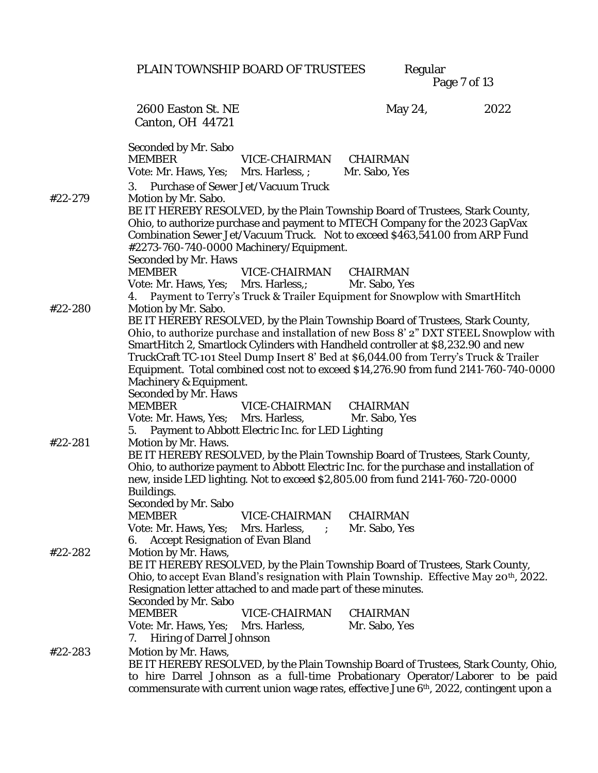PLAIN TOWNSHIP BOARD OF TRUSTEES

Regular<br>Page 7 of 13

|         | 2600 Easton St. NE                                                                                                                                                            | May 24,       | 2022 |
|---------|-------------------------------------------------------------------------------------------------------------------------------------------------------------------------------|---------------|------|
|         | Canton, OH 44721                                                                                                                                                              |               |      |
|         |                                                                                                                                                                               |               |      |
|         | Seconded by Mr. Sabo<br>VICE-CHAIRMAN<br><b>MEMBER</b>                                                                                                                        | CHAIRMAN      |      |
|         | Vote: Mr. Haws, Yes; Mrs. Harless, ;                                                                                                                                          | Mr. Sabo, Yes |      |
|         | 3. Purchase of Sewer Jet/Vacuum Truck                                                                                                                                         |               |      |
| #22-279 | Motion by Mr. Sabo.                                                                                                                                                           |               |      |
|         | BE IT HEREBY RESOLVED, by the Plain Township Board of Trustees, Stark County,                                                                                                 |               |      |
|         | Ohio, to authorize purchase and payment to MTECH Company for the 2023 GapVax                                                                                                  |               |      |
|         | Combination Sewer Jet/Vacuum Truck. Not to exceed \$463,541.00 from ARP Fund                                                                                                  |               |      |
|         | #2273-760-740-0000 Machinery/Equipment.                                                                                                                                       |               |      |
|         | Seconded by Mr. Haws<br>VICE-CHAIRMAN<br><b>MEMBER</b>                                                                                                                        | CHAIRMAN      |      |
|         | Vote: Mr. Haws, Yes; Mrs. Harless,; Mr. Sabo, Yes                                                                                                                             |               |      |
|         | 4. Payment to Terry's Truck & Trailer Equipment for Snowplow with SmartHitch                                                                                                  |               |      |
| #22-280 | Motion by Mr. Sabo.                                                                                                                                                           |               |      |
|         | BE IT HEREBY RESOLVED, by the Plain Township Board of Trustees, Stark County,                                                                                                 |               |      |
|         | Ohio, to authorize purchase and installation of new Boss 8' 2" DXT STEEL Snowplow with                                                                                        |               |      |
|         | SmartHitch 2, Smartlock Cylinders with Handheld controller at \$8,232.90 and new                                                                                              |               |      |
|         | TruckCraft TC-101 Steel Dump Insert 8' Bed at \$6,044.00 from Terry's Truck & Trailer<br>Equipment. Total combined cost not to exceed \$14,276.90 from fund 2141-760-740-0000 |               |      |
|         | Machinery & Equipment.                                                                                                                                                        |               |      |
|         | Seconded by Mr. Haws                                                                                                                                                          |               |      |
|         | <b>MEMBER</b><br>VICE-CHAIRMAN                                                                                                                                                | CHAIRMAN      |      |
|         | Vote: Mr. Haws, Yes; Mrs. Harless,                                                                                                                                            | Mr. Sabo, Yes |      |
|         | Payment to Abbott Electric Inc. for LED Lighting<br>5.                                                                                                                        |               |      |
| #22-281 | Motion by Mr. Haws.                                                                                                                                                           |               |      |
|         | BE IT HEREBY RESOLVED, by the Plain Township Board of Trustees, Stark County,<br>Ohio, to authorize payment to Abbott Electric Inc. for the purchase and installation of      |               |      |
|         | new, inside LED lighting. Not to exceed \$2,805.00 from fund 2141-760-720-0000                                                                                                |               |      |
|         | Buildings.                                                                                                                                                                    |               |      |
|         | Seconded by Mr. Sabo                                                                                                                                                          |               |      |
|         | VICE-CHAIRMAN CHAIRMAN<br><b>MEMBER</b>                                                                                                                                       |               |      |
|         | Vote: Mr. Haws, Yes;<br>Mrs. Harless, ;                                                                                                                                       | Mr. Sabo, Yes |      |
| #22-282 | Accept Resignation of Evan Bland<br>Motion by Mr. Haws,                                                                                                                       |               |      |
|         | BE IT HEREBY RESOLVED, by the Plain Township Board of Trustees, Stark County,                                                                                                 |               |      |
|         | Ohio, to accept Evan Bland's resignation with Plain Township. Effective May 20 <sup>th</sup> , 2022.                                                                          |               |      |
|         | Resignation letter attached to and made part of these minutes.                                                                                                                |               |      |
|         | Seconded by Mr. Sabo                                                                                                                                                          |               |      |
|         | <b>MEMBER</b><br>VICE-CHAIRMAN                                                                                                                                                | CHAIRMAN      |      |
|         | Vote: Mr. Haws, Yes;<br>Mrs. Harless,                                                                                                                                         | Mr. Sabo, Yes |      |
|         | Hiring of Darrel Johnson<br>$\frac{1}{2}$                                                                                                                                     |               |      |
| #22-283 | Motion by Mr. Haws,<br>BE IT HEREBY RESOLVED, by the Plain Township Board of Trustees, Stark County, Ohio,                                                                    |               |      |
|         | to hire Darrel Johnson as a full-time Probationary Operator/Laborer to be paid                                                                                                |               |      |
|         | commensurate with current union wage rates, effective June 6 <sup>th</sup> , 2022, contingent upon a                                                                          |               |      |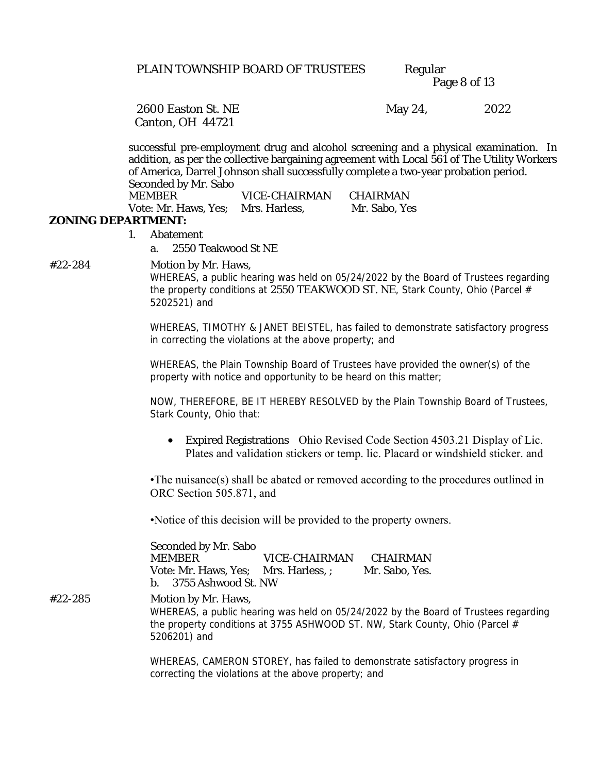Page 8 of 13

Canton, OH 44721

2600 Easton St. NE May 24, 2022

successful pre-employment drug and alcohol screening and a physical examination. In addition, as per the collective bargaining agreement with Local 561 of The Utility Workers of America, Darrel Johnson shall successfully complete a two-year probation period. Seconded by Mr. Sabo

| Vote: Mr. Haws, Yes: Mrs. Harless, |               | Mr. Sabo, Yes |
|------------------------------------|---------------|---------------|
| MEMBER                             | VICE-CHAIRMAN | CHAIRMAN      |

#### **ZONING DEPARTMENT:**

- 1. Abatement
	- a. 2550 Teakwood St NE

#22-284 Motion by Mr. Haws,

WHEREAS, a public hearing was held on 05/24/2022 by the Board of Trustees regarding the property conditions at 2550 TEAKWOOD ST. NE, Stark County, Ohio (Parcel # 5202521) and

WHEREAS, TIMOTHY & JANET BEISTEL, has failed to demonstrate satisfactory progress in correcting the violations at the above property; and

WHEREAS, the Plain Township Board of Trustees have provided the owner(s) of the property with notice and opportunity to be heard on this matter;

NOW, THEREFORE, BE IT HEREBY RESOLVED by the Plain Township Board of Trustees, Stark County, Ohio that:

• Expired Registrations Ohio Revised Code Section 4503.21 Display of Lic. Plates and validation stickers or temp. lic. Placard or windshield sticker. and

•The nuisance(s) shall be abated or removed according to the procedures outlined in ORC Section 505.871, and

•Notice of this decision will be provided to the property owners.

Seconded by Mr. Sabo MEMBER VICE-CHAIRMAN CHAIRMAN Vote: Mr. Haws, Yes; Mrs. Harless, ; Mr. Sabo, Yes. b. 3755 Ashwood St. NW #22-285 Motion by Mr. Haws, WHEREAS, a public hearing was held on 05/24/2022 by the Board of Trustees regarding the property conditions at 3755 ASHWOOD ST. NW, Stark County, Ohio (Parcel # 5206201) and

> WHEREAS, CAMERON STOREY, has failed to demonstrate satisfactory progress in correcting the violations at the above property; and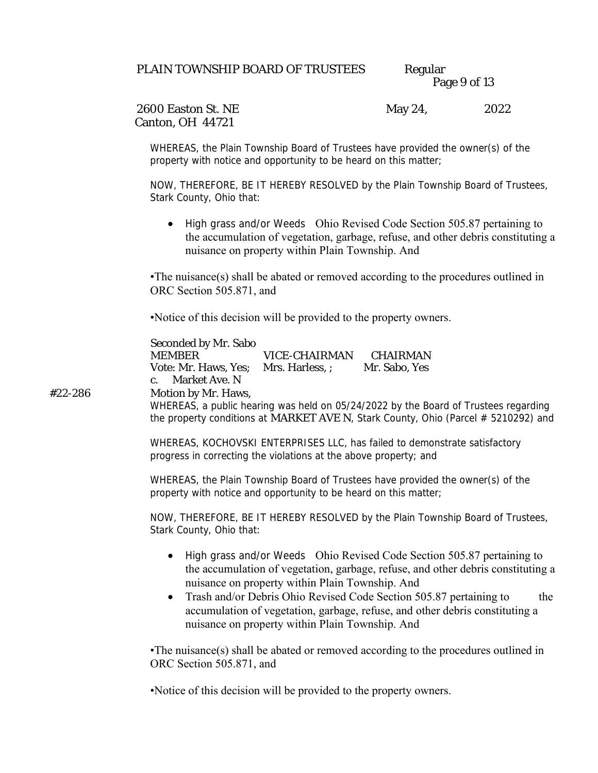| PLAIN TOWNSHIP BOARD OF TRUSTEES | Regular      |
|----------------------------------|--------------|
|                                  | Page 9 of 13 |

Canton, OH 44721

2600 Easton St. NE May 24, 2022

WHEREAS, the Plain Township Board of Trustees have provided the owner(s) of the property with notice and opportunity to be heard on this matter;

NOW, THEREFORE, BE IT HEREBY RESOLVED by the Plain Township Board of Trustees, Stark County, Ohio that:

• High grass and/or Weeds Ohio Revised Code Section 505.87 pertaining to the accumulation of vegetation, garbage, refuse, and other debris constituting a nuisance on property within Plain Township. And

•The nuisance(s) shall be abated or removed according to the procedures outlined in ORC Section 505.871, and

•Notice of this decision will be provided to the property owners.

| Seconded by Mr. Sabo |                 |               |
|----------------------|-----------------|---------------|
| MEMBER.              | VICE-CHAIRMAN   | CHAIRMAN      |
| Vote: Mr. Haws, Yes; | Mrs. Harless, ; | Mr. Sabo, Yes |
| -c. - Market Ave. N  |                 |               |

#22-286 Motion by Mr. Haws,

WHEREAS, a public hearing was held on 05/24/2022 by the Board of Trustees regarding the property conditions at MARKET AVE N, Stark County, Ohio (Parcel # 5210292) and

WHEREAS, KOCHOVSKI ENTERPRISES LLC, has failed to demonstrate satisfactory progress in correcting the violations at the above property; and

WHEREAS, the Plain Township Board of Trustees have provided the owner(s) of the property with notice and opportunity to be heard on this matter;

NOW, THEREFORE, BE IT HEREBY RESOLVED by the Plain Township Board of Trustees, Stark County, Ohio that:

- High grass and/or Weeds Ohio Revised Code Section 505.87 pertaining to the accumulation of vegetation, garbage, refuse, and other debris constituting a nuisance on property within Plain Township. And
- Trash and/or Debris Ohio Revised Code Section 505.87 pertaining to the accumulation of vegetation, garbage, refuse, and other debris constituting a nuisance on property within Plain Township. And

•The nuisance(s) shall be abated or removed according to the procedures outlined in ORC Section 505.871, and

•Notice of this decision will be provided to the property owners.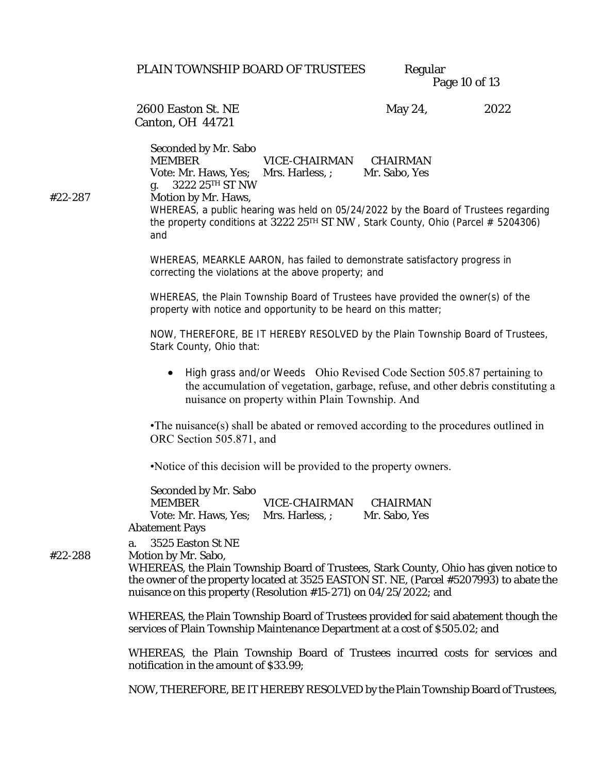Page 10 of 13

Canton, OH 44721

2600 Easton St. NE May 24, 2022

Seconded by Mr. Sabo MEMBER VICE-CHAIRMAN CHAIRMAN Vote: Mr. Haws, Yes; Mrs. Harless, ; Mr. Sabo, Yes g. 3222 25TH ST NW #22-287 Motion by Mr. Haws, WHEREAS, a public hearing was held on 05/24/2022 by the Board of Trustees regarding the property conditions at 3222 25<sup>TH</sup> ST NW, Stark County, Ohio (Parcel  $\#$  5204306) and

> WHEREAS, MEARKLE AARON, has failed to demonstrate satisfactory progress in correcting the violations at the above property; and

WHEREAS, the Plain Township Board of Trustees have provided the owner(s) of the property with notice and opportunity to be heard on this matter;

NOW, THEREFORE, BE IT HEREBY RESOLVED by the Plain Township Board of Trustees, Stark County, Ohio that:

• High grass and/or Weeds Ohio Revised Code Section 505.87 pertaining to the accumulation of vegetation, garbage, refuse, and other debris constituting a nuisance on property within Plain Township. And

•The nuisance(s) shall be abated or removed according to the procedures outlined in ORC Section 505.871, and

•Notice of this decision will be provided to the property owners.

Seconded by Mr. Sabo MEMBER VICE-CHAIRMAN CHAIRMAN Vote: Mr. Haws, Yes; Mrs. Harless, ; Mr. Sabo, Yes Abatement Pays

a. 3525 Easton St NE

#22-288 Motion by Mr. Sabo,

WHEREAS, the Plain Township Board of Trustees, Stark County, Ohio has given notice to the owner of the property located at 3525 EASTON ST. NE, (Parcel #5207993) to abate the nuisance on this property (Resolution #15-271) on 04/25/2022; and

WHEREAS, the Plain Township Board of Trustees provided for said abatement though the services of Plain Township Maintenance Department at a cost of \$505.02; and

WHEREAS, the Plain Township Board of Trustees incurred costs for services and notification in the amount of \$33.99;

NOW, THEREFORE, BE IT HEREBY RESOLVED by the Plain Township Board of Trustees,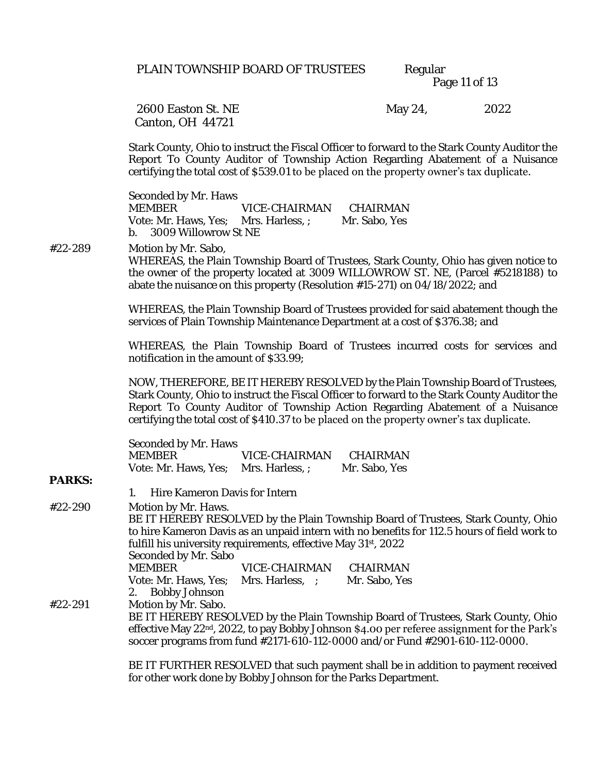Page 11 of 13

Canton, OH 44721

2600 Easton St. NE May 24, 2022

Stark County, Ohio to instruct the Fiscal Officer to forward to the Stark County Auditor the Report To County Auditor of Township Action Regarding Abatement of a Nuisance certifying the total cost of \$539.01 to be placed on the property owner's tax duplicate.

Seconded by Mr. Haws MEMBER VICE-CHAIRMAN CHAIRMAN Vote: Mr. Haws, Yes; Mrs. Harless, ; Mr. Sabo, Yes b. 3009 Willowrow St NE

#22-289 Motion by Mr. Sabo, WHEREAS, the Plain Township Board of Trustees, Stark County, Ohio has given notice to the owner of the property located at 3009 WILLOWROW ST. NE, (Parcel #5218188) to abate the nuisance on this property (Resolution #15-271) on 04/18/2022; and

> WHEREAS, the Plain Township Board of Trustees provided for said abatement though the services of Plain Township Maintenance Department at a cost of \$376.38; and

> WHEREAS, the Plain Township Board of Trustees incurred costs for services and notification in the amount of \$33.99;

> NOW, THEREFORE, BE IT HEREBY RESOLVED by the Plain Township Board of Trustees, Stark County, Ohio to instruct the Fiscal Officer to forward to the Stark County Auditor the Report To County Auditor of Township Action Regarding Abatement of a Nuisance certifying the total cost of \$410.37 to be placed on the property owner's tax duplicate.

| Seconded by Mr. Haws                 |               |               |
|--------------------------------------|---------------|---------------|
| MEMBER                               | VICE-CHAIRMAN | CHAIRMAN      |
| Vote: Mr. Haws, Yes: Mrs. Harless, ; |               | Mr. Sabo, Yes |

1. Hire Kameron Davis for Intern

**PARKS:**

#22-290 Motion by Mr. Haws. BE IT HEREBY RESOLVED by the Plain Township Board of Trustees, Stark County, Ohio to hire Kameron Davis as an unpaid intern with no benefits for 112.5 hours of field work to fulfill his university requirements, effective May 31st, 2022 Seconded by Mr. Sabo MEMBER VICE-CHAIRMAN CHAIRMAN Vote: Mr. Haws, Yes; Mrs. Harless, ; Mr. Sabo, Yes 2. Bobby Johnson #22-291 Motion by Mr. Sabo. BE IT HEREBY RESOLVED by the Plain Township Board of Trustees, Stark County, Ohio effective May 22<sup>nd</sup>, 2022, to pay Bobby Johnson \$4.00 per referee assignment for the Park's soccer programs from fund #2171-610-112-0000 and/or Fund #2901-610-112-0000.

> BE IT FURTHER RESOLVED that such payment shall be in addition to payment received for other work done by Bobby Johnson for the Parks Department.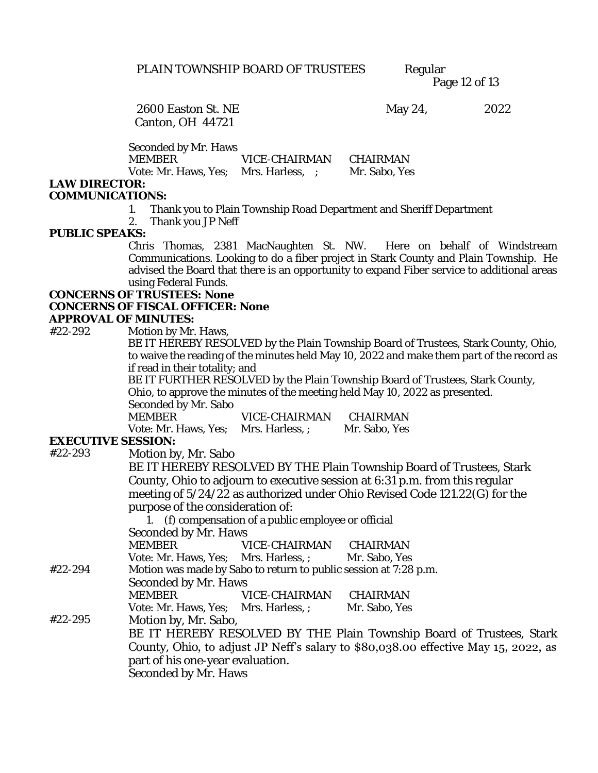Page 12 of 13

Canton, OH 44721

2600 Easton St. NE May 24, 2022

Seconded by Mr. Haws

MEMBER VICE-CHAIRMAN CHAIRMAN

Vote: Mr. Haws, Yes; Mrs. Harless, ; Mr. Sabo, Yes

#### **LAW DIRECTOR:**

#### **COMMUNICATIONS:**

1. Thank you to Plain Township Road Department and Sheriff Department

2. Thank you JP Neff

#### **PUBLIC SPEAKS:**

Chris Thomas, 2381 MacNaughten St. NW. Here on behalf of Windstream Communications. Looking to do a fiber project in Stark County and Plain Township. He advised the Board that there is an opportunity to expand Fiber service to additional areas using Federal Funds.

**CONCERNS OF TRUSTEES: None**

**CONCERNS OF FISCAL OFFICER: None**

#### **APPROVAL OF MINUTES:**

#22-292 Motion by Mr. Haws,

BE IT HEREBY RESOLVED by the Plain Township Board of Trustees, Stark County, Ohio, to waive the reading of the minutes held May 10, 2022 and make them part of the record as if read in their totality; and

BE IT FURTHER RESOLVED by the Plain Township Board of Trustees, Stark County, Ohio, to approve the minutes of the meeting held May 10, 2022 as presented.

Seconded by Mr. Sabo

MEMBER VICE-CHAIRMAN CHAIRMAN Vote: Mr. Haws, Yes; Mrs. Harless, ; Mr. Sabo, Yes

#### **EXECUTIVE SESSION:**

#22-293 Motion by, Mr. Sabo

BE IT HEREBY RESOLVED BY THE Plain Township Board of Trustees, Stark County, Ohio to adjourn to executive session at 6:31 p.m. from this regular meeting of 5/24/22 as authorized under Ohio Revised Code 121.22(G) for the purpose of the consideration of:

1. (f) compensation of a public employee or official Seconded by Mr. Haws

MEMBER VICE-CHAIRMAN CHAIRMAN

Vote: Mr. Haws, Yes; Mrs. Harless, ; Mr. Sabo, Yes

#22-294 Motion was made by Sabo to return to public session at 7:28 p.m.

Seconded by Mr. Haws

MEMBER VICE-CHAIRMAN CHAIRMAN

Vote: Mr. Haws, Yes; Mrs. Harless, ; Mr. Sabo, Yes

#22-295 Motion by, Mr. Sabo,

BE IT HEREBY RESOLVED BY THE Plain Township Board of Trustees, Stark County, Ohio, to adjust JP Neff's salary to \$80,038.00 effective May 15, 2022, as part of his one-year evaluation. Seconded by Mr. Haws